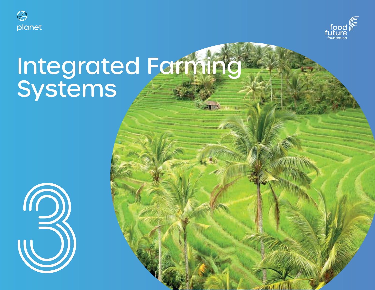



# Integrated Farming Systems

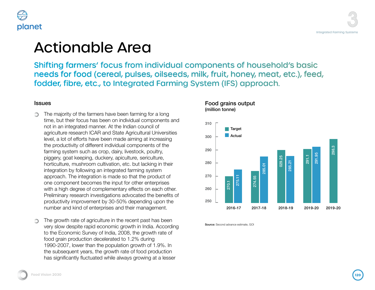



### Actionable Area

Shifting farmers' focus from individual components of household's basic needs for food (cereal, pulses, oilseeds, milk, fruit, honey, meat, etc.), feed, fodder, fibre, etc., to Integrated Farming System (IFS) approach.

#### Issues

- The majority of the farmers have been farming for a long  $\circledcirc$ time, but their focus has been on individual components and not in an integrated manner. At the Indian council of agriculture research ICAR and State Agricultural Universities level, a lot of efforts have been made aiming at increasing the productivity of different individual components of the farming system such as crop, dairy, livestock, poultry, piggery, goat keeping, duckery, apiculture, sericulture, horticulture, mushroom cultivation, etc. but lacking in their integration by following an integrated farming system approach. The integration is made so that the product of one component becomes the input for other enterprises with a high degree of complementary effects on each other. Preliminary research investigations advocated the benefits of productivity improvement by 30-50% depending upon the number and kind of enterprises and their management.
- The growth rate of agriculture in the recent past has been ∩ very slow despite rapid economic growth in India. According to the Economic Survey of India, 2008, the growth rate of food grain production decelerated to 1.2% during 1990-2007, lower than the population growth of 1.9%. In the subsequent years, the growth rate of food production has significantly fluctuated while always growing at a lesser



Source: Second advance estimate, GOI

Food grains output

(million tonne)

#### **Food Vision 2030 1201 Food Vision 2030**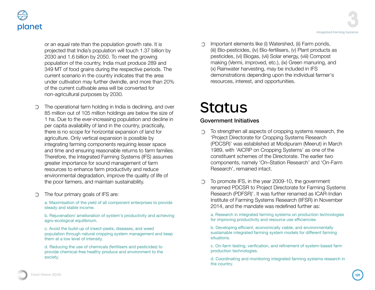

or an equal rate than the population growth rate. It is projected that India's population will touch 1.37 billion by 2030 and 1.6 billion by 2050. To meet the growing population of the country, India must produce 289 and 349 MT of food grains during the respective periods. The current scenario in the country indicates that the area under cultivation may further dwindle, and more than 20% of the current cultivable area will be converted for non-agricultural purposes by 2030.

- The operational farm holding in India is declining, and over  $\circledcirc$ 85 million out of 105 million holdings are below the size of 1 ha. Due to the ever-increasing population and decline in per capita availability of land in the country, practically, there is no scope for horizontal expansion of land for agriculture. Only vertical expansion is possible by integrating farming components requiring lesser space and time and ensuring reasonable returns to farm families. Therefore, the Integrated Farming Systems (IFS) assumes greater importance for sound management of farm resources to enhance farm productivity and reduce environmental degradation, improve the quality of life of the poor farmers, and maintain sustainability.
- The four primary goals of IFS are: ∩

a. Maximisation of the yield of all component enterprises to provide steady and stable income.

b. Rejuvenation/ amelioration of system's productivity and achieving agro-ecological equilibrium.

c. Avoid the build-up of insect-pests, diseases, and weed population through natural cropping system management and keep them at a low level of intensity.

d. Reducing the use of chemicals (fertilisers and pesticides) to provide chemical-free healthy produce and environment to the society.

Important elements like (i) Watershed, (ii) Farm ponds, (iii) Bio-pesticides, (iv) Bio-fertilisers, (v) Plant products as pesticides, (vi) Biogas, (vii) Solar energy, (viii) Compost making (Vermi, improved, etc.), (ix) Green manuring, and (x) Rainwater harvesting, may be included in IFS demonstrations depending upon the individual farmer's resources, interest, and opportunities.

# **Status**

#### Government Initiatives

- To strengthen all aspects of cropping systems research, the ∩ 'Project Directorate for Cropping Systems Research (PDCSR)' was established at Modipuram (Meerut) in March 1989, with 'AICRP on Cropping Systems' as one of the constituent schemes of the Directorate. The earlier two components, namely 'On–Station Research' and 'On-Farm Research', remained intact.
- To promote IFS, in the year 2009-10, the government renamed PDCSR to Project Directorate for Farming Systems Research (PDFSR)'. It was further renamed as ICAR-Indian Institute of Farming Systems Research (IIFSR) in November 2014, and the mandate was redefined further as:

a. Research in integrated farming systems on production technologies for improving productivity and resource use efficiencies.

b. Developing efficient, economically viable, and environmentally sustainable integrated farming system models for different farming situations.

c. On-farm testing, verification, and refinement of system-based farm production technologies.

d. Coordinating and monitoring integrated farming systems research in the country.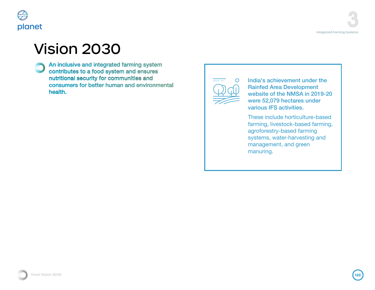

## Vision 2030

**An inclusive and integrated farming system** contributes to a food system and ensures nutritional security for communities and consumers for better human and environmental health.

 $\circ$ 

India's achievement under the Rainfed Area Development website of the NMSA in 2019-20 were 52,079 hectares under various IFS activities.

These include horticulture-based farming, livestock-based farming, agroforestry-based farming systems, water-harvesting and management, and green manuring.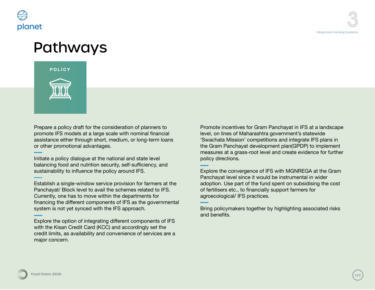

### Pathways



Prepare a policy draft for the consideration of planners to promote IFS models at a large scale with nominal financial assistance either through short, medium, or long-term loans or other promotional advantages.

Initiate a policy dialogue at the national and state level balancing food and nutrition security, self-sufficiency, and sustainability to influence the policy around IFS.

Establish a single-window service provision for farmers at the Panchayat/ Block level to avail the schemes related to IFS. Currently, one has to move within the departments for financing the different components of IFS as the governmental system is not yet synced with the IFS approach.

Explore the option of integrating different components of IFS with the Kisan Credit Card (KCC) and accordingly set the credit limits, as availability and convenience of services are a major concern.

Promote incentives for Gram Panchayat in IFS at a landscape level, on lines of Maharashtra government's statewide 'Swachata Mission' competitions and integrate IFS plans in the Gram Panchayat development plan(GPDP) to implement measures at a grass-root level and create evidence for further policy directions.

Explore the convergence of IFS with MGNREGA at the Gram Panchayat level since it would be instrumental in wider adoption. Use part of the fund spent on subsidising the cost of fertilisers etc., to financially support farmers for agroecological/ IFS practices.

Bring policymakers together by highlighting associated risks and benefits.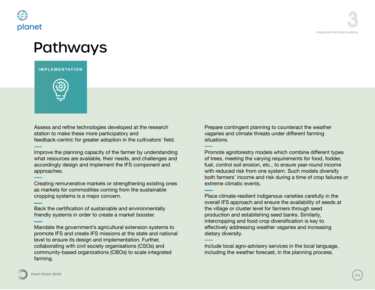

### Pathways

#### **IMPLEMENTATION**



Assess and refine technologies developed at the research station to make these more participatory and feedback-centric for greater adoption in the cultivators' field.

Improve the planning capacity of the farmer by understanding what resources are available, their needs, and challenges and accordingly design and implement the IFS component and approaches.

Creating remunerative markets or strengthening existing ones as markets for commodities coming from the sustainable cropping systems is a major concern.

Back the certification of sustainable and environmentally friendly systems in order to create a market booster.

Mandate the government's agricultural extension systems to promote IFS and create IFS missions at the state and national level to ensure its design and implementation. Further, collaborating with civil society organisations (CSOs) and community-based organizations (CBOs) to scale integrated farming.

Prepare contingent planning to counteract the weather vagaries and climate threats under different farming situations.

Promote agroforestry models which combine different types of trees, meeting the varying requirements for food, fodder, fuel, control soil erosion, etc., to ensure year-round income with reduced risk from one system. Such models diversify both farmers' income and risk during a time of crop failures or extreme climatic events.

Place climate-resilient indigenous varieties carefully in the overall IFS approach and ensure the availability of seeds at the village or cluster level for farmers through seed production and establishing seed banks. Similarly, intercropping and food crop diversification is key to effectively addressing weather vagaries and increasing dietary diversity.

Include local agro-advisory services in the local language, including the weather forecast, in the planning process.

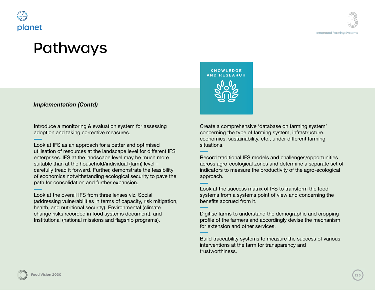

### Pathways

#### *Implementation (Contd)*

Introduce a monitoring & evaluation system for assessing adoption and taking corrective measures.

Look at IFS as an approach for a better and optimised utilisation of resources at the landscape level for different IFS enterprises. IFS at the landscape level may be much more suitable than at the household/individual (farm) level – carefully tread it forward. Further, demonstrate the feasibility of economics notwithstanding ecological security to pave the path for consolidation and further expansion.

Look at the overall IFS from three lenses viz. Social (addressing vulnerabilities in terms of capacity, risk mitigation, health, and nutritional security), Environmental (climate change risks recorded in food systems document), and Institutional (national missions and flagship programs).

**KNOWLEDGE AND RESEARCH**

Create a comprehensive 'database on farming system' concerning the type of farming system, infrastructure, economics, sustainability, etc., under different farming situations.

Record traditional IFS models and challenges/opportunities across agro-ecological zones and determine a separate set of indicators to measure the productivity of the agro-ecological approach.

Look at the success matrix of IFS to transform the food systems from a systems point of view and concerning the benefits accrued from it.

Digitise farms to understand the demographic and cropping profile of the farmers and accordingly devise the mechanism for extension and other services.

Build traceability systems to measure the success of various interventions at the farm for transparency and trustworthiness.